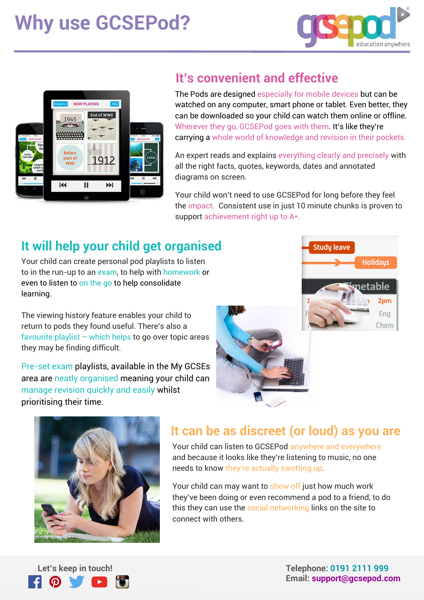# **Why use GCSEPod?**





#### **It's convenient and effective**

The Pods are designed especially for mobile devices but can be watched on any computer, smart phone or tablet. Even better, they can be downloaded so your child can watch them online or offline. Wherever they go, GCSEPod goes with them. It's like they're carrying a whole world of knowledge and revision in their pockets.

An expert reads and explains everything clearly and precisely with all the right facts, quotes, keywords, dates and annotated diagrams on screen.

Your child won't need to use GCSEPod for long before they feel the impact. Consistent use in just 10 minute chunks is proven to support achievement right up to A\*.

## **It will help your child get organised**

Your child can create personal pod playlists to listen to in the run-up to an exam, to help with homework or even to listen to on the go to help consolidate learning.

The viewing history feature enables your child to return to pods they found useful. There's also a favourite playlist  $-$  which helps to go over topic areas they may be finding difficult.

Pre-set exam playlists, available in the My GCSEs area are neatly organised meaning your child can manage revision quickly and easily whilst prioritising their time.





## **It can be as discreet (or loud) as you are**

Your child can listen to GCSEPod anywhere and everywhere and because it looks like they're listening to music, no one needs to know they're actually swotting up.

Your child can may want to show off just how much work they've been doing or even recommend a pod to a friend, to do this they can use the social networking links on the site to connect with others.



 **Let's keep in touch! Telephone: 0191 2111 999 Email: support@gcsepod.com**